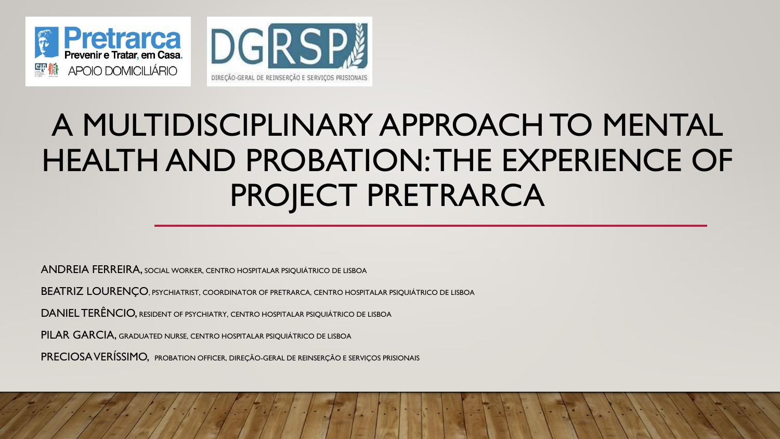



# A MULTIDISCIPLINARY APPROACH TO MENTAL HEALTH AND PROBATION: THE EXPERIENCE OF PROJECT PRETRARCA

ANDREIA FERREIRA, SOCIAL WORKER, CENTRO HOSPITALAR PSIQUIÁTRICO DE LISBOA

BEATRIZ LOURENÇO, PSYCHIATRIST, COORDINATOR OF PRETRARCA, CENTRO HOSPITALAR PSIQUIÁTRICO DE LISBOA

DANIEL TERÊNCIO, RESIDENT OF PSYCHIATRY, CENTRO HOSPITALAR PSIQUIÁTRICO DE LISBOA

PILAR GARCIA, GRADUATED NURSE, CENTRO HOSPITALAR PSIQUIÁTRICO DE LISBOA

PRECIOSA VERÍSSIMO, PROBATION OFFICER, DIREÇÃO-GERAL DE REINSERÇÃO E SERVIÇOS PRISIONAIS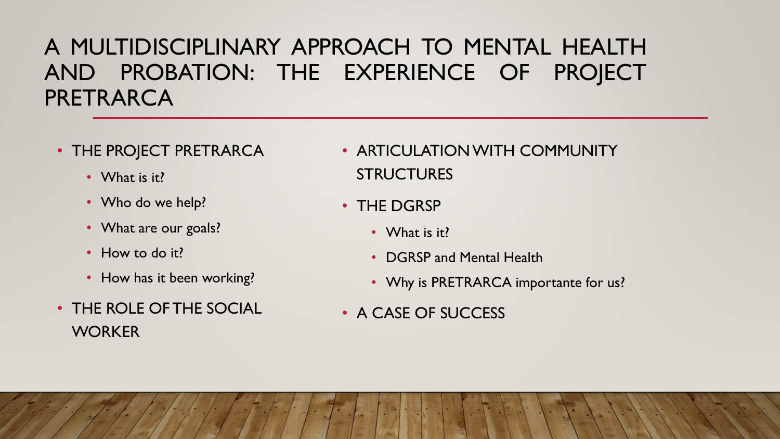#### A MULTIDISCIPLINARY APPROACH TO MENTAL HEALTH AND PROBATION: THE EXPERIENCE OF PROJECT PRETRARCA

- THE PROJECT PRETRARCA
	- What is it?
	- Who do we help?
	- What are our goals?
	- How to do it?
	- How has it been working?
- THE ROLE OF THE SOCIAL **WORKER**
- ARTICULATION WITH COMMUNITY **STRUCTURES**
- THE DGRSP
	- What is it?
	- DGRSP and Mental Health
	- Why is PRETRARCA importante for us?
- A CASE OF SUCCESS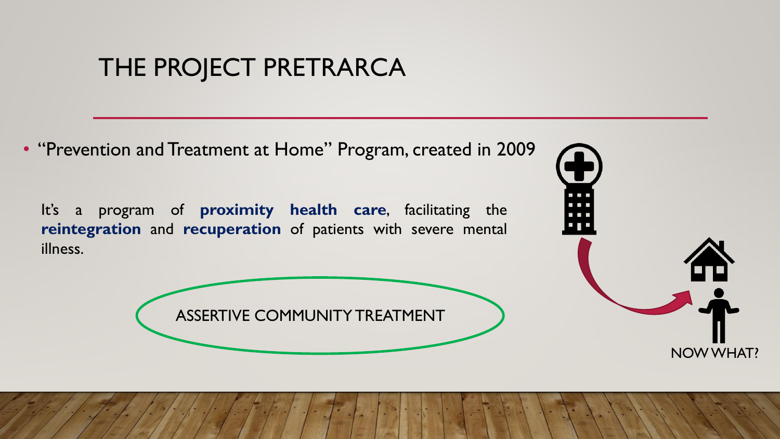• "Prevention and Treatment at Home" Program, created in 2009

It's a program of **proximity health care**, facilitating the **reintegration** and **recuperation** of patients with severe mental illness.



ASSERTIVE COMMUNITY TREATMENT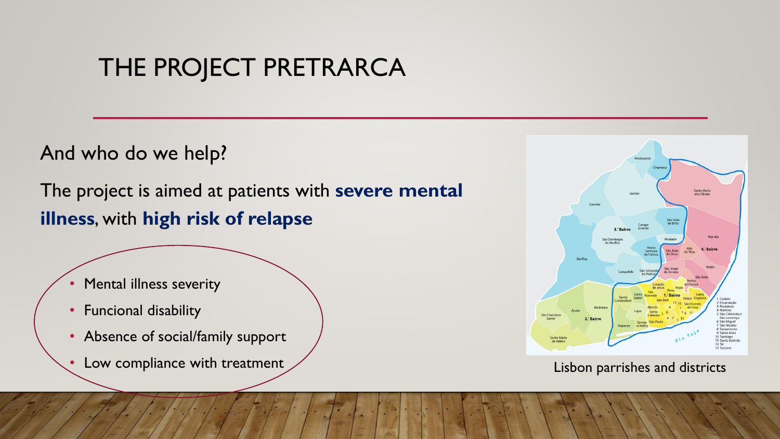And who do we help?

The project is aimed at patients with **severe mental illness**, with **high risk of relapse**

- Mental illness severity
- Funcional disability
- Absence of social/family support
- Low compliance with treatment Lisbon parrishes and districts

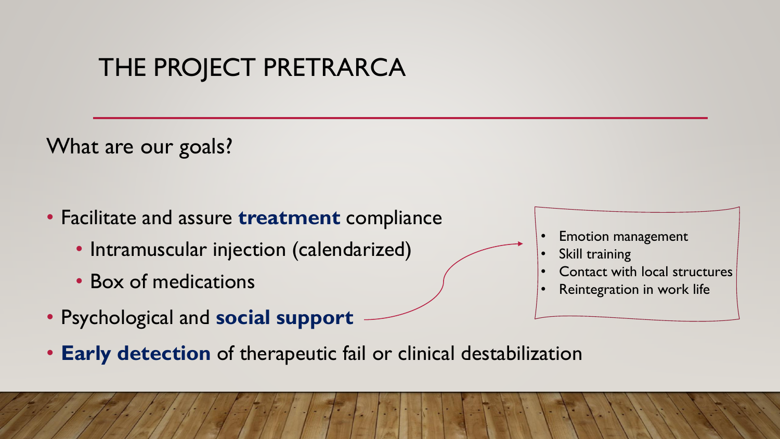What are our goals?

- Facilitate and assure **treatment** compliance
	- Intramuscular injection (calendarized)
	- Box of medications
- Psychological and **social support**
- **Early detection** of therapeutic fail or clinical destabilization
- Emotion management
- Skill training
- Contact with local structures
- Reintegration in work life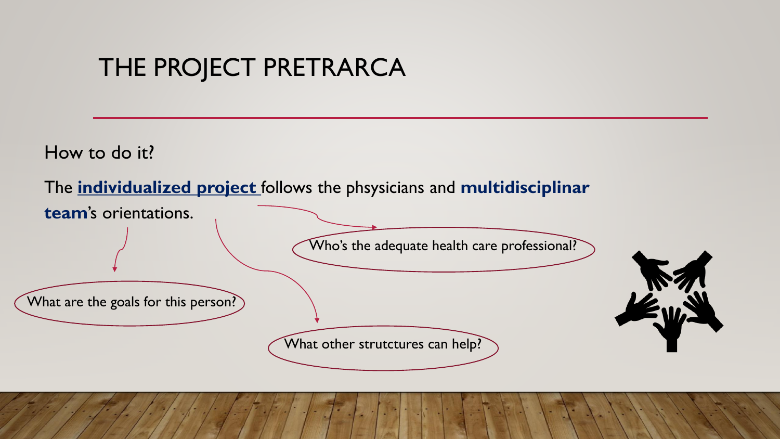How to do it?

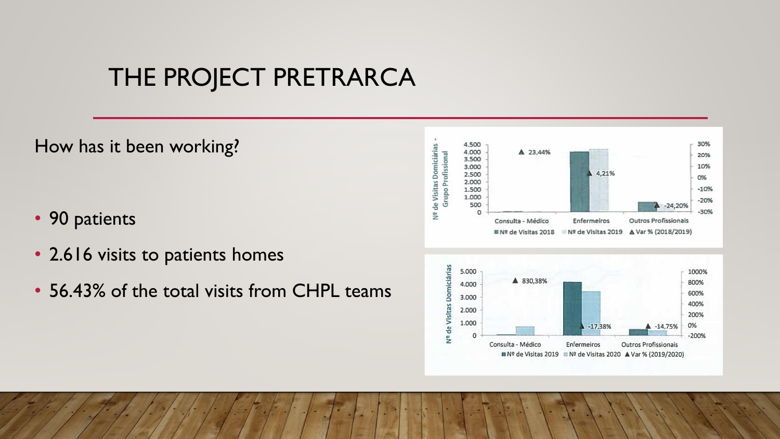How has it been working?

- 90 patients
- 2.616 visits to patients homes
- 56.43% of the total visits from CHPL teams

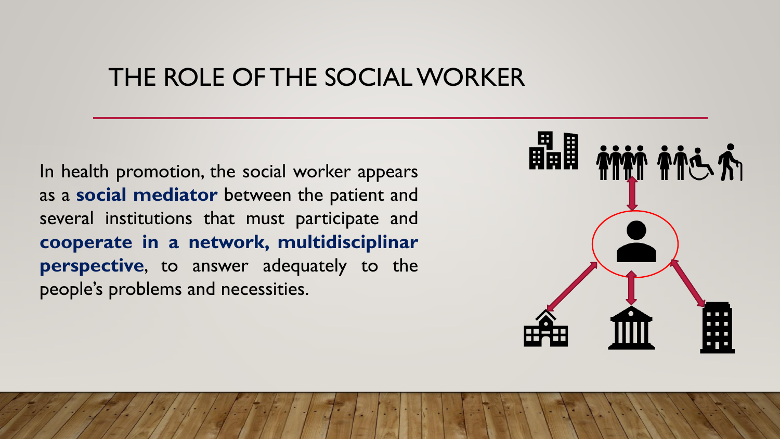#### THE ROLE OF THE SOCIAL WORKER

In health promotion, the social worker appears as a **social mediator** between the patient and several institutions that must participate and **cooperate in a network, multidisciplinar perspective**, to answer adequately to the people's problems and necessities.

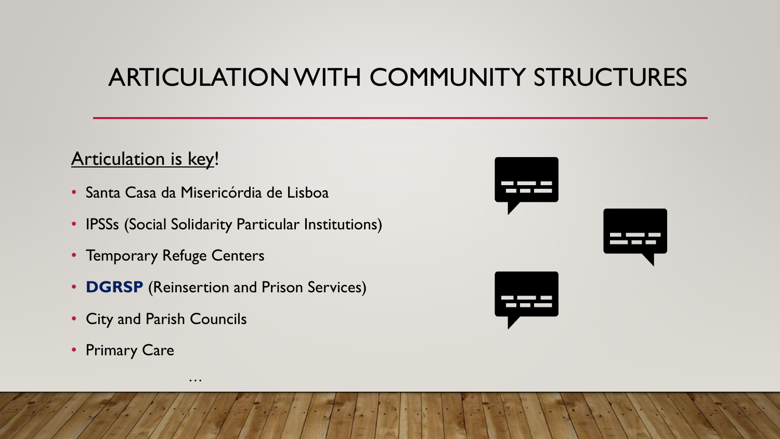## ARTICULATION WITH COMMUNITY STRUCTURES

#### Articulation is key!

- Santa Casa da Misericórdia de Lisboa
- IPSSs (Social Solidarity Particular Institutions)
- Temporary Refuge Centers
- **DGRSP** (Reinsertion and Prison Services)

…

- City and Parish Councils
- Primary Care

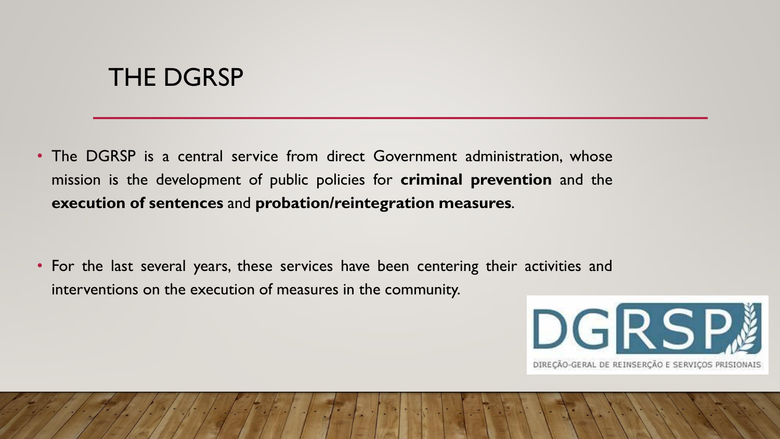#### THE DGRSP

• The DGRSP is a central service from direct Government administration, whose mission is the development of public policies for **criminal prevention** and the **execution of sentences** and **probation/reintegration measures**.

• For the last several years, these services have been centering their activities and interventions on the execution of measures in the community.

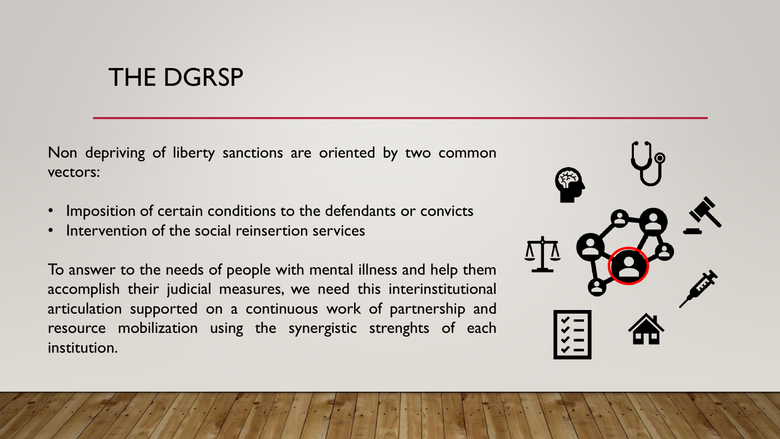#### THE DGRSP

Non depriving of liberty sanctions are oriented by two common vectors:

- Imposition of certain conditions to the defendants or convicts
- Intervention of the social reinsertion services

To answer to the needs of people with mental illness and help them accomplish their judicial measures, we need this interinstitutional articulation supported on a continuous work of partnership and resource mobilization using the synergistic strenghts of each institution.

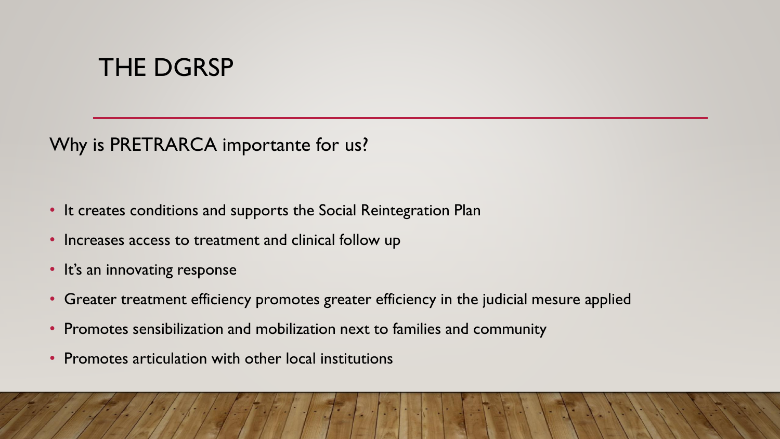## THE DGRSP

Why is PRETRARCA importante for us?

- It creates conditions and supports the Social Reintegration Plan
- Increases access to treatment and clinical follow up
- It's an innovating response
- Greater treatment efficiency promotes greater efficiency in the judicial mesure applied
- Promotes sensibilization and mobilization next to families and community
- Promotes articulation with other local institutions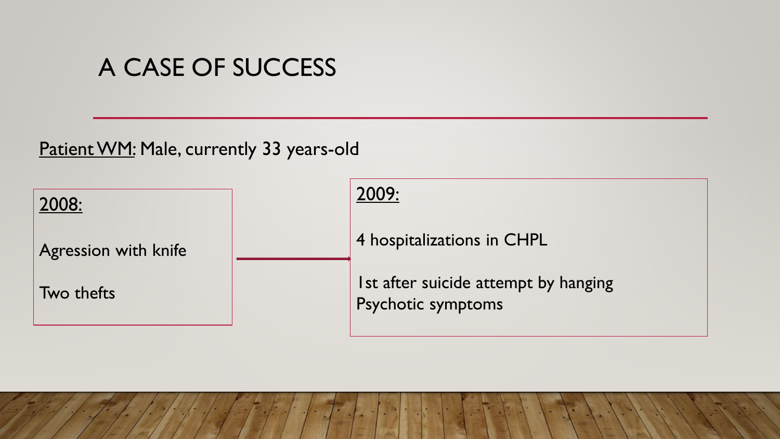Patient WM: Male, currently 33 years-old

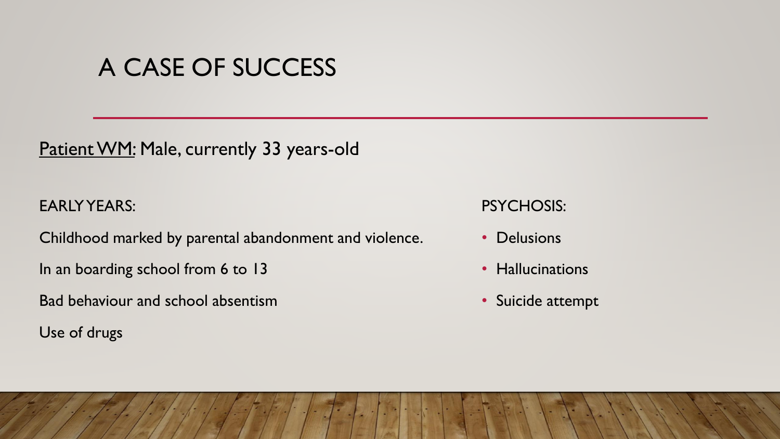Patient WM: Male, currently 33 years-old

EARLY YEARS:

Childhood marked by parental abandonment and violence.

In an boarding school from 6 to 13

Bad behaviour and school absentism

Use of drugs

PSYCHOSIS:

- Delusions
- Hallucinations
- Suicide attempt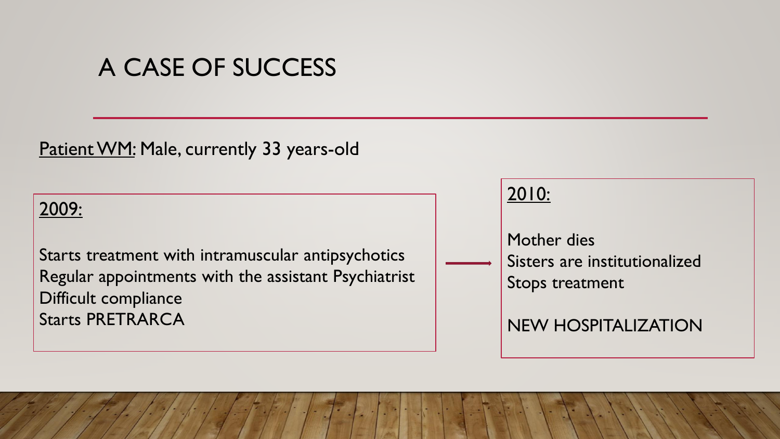Patient WM: Male, currently 33 years-old

#### 2009:

Starts treatment with intramuscular antipsychotics Regular appointments with the assistant Psychiatrist Difficult compliance Starts PRETRARCA

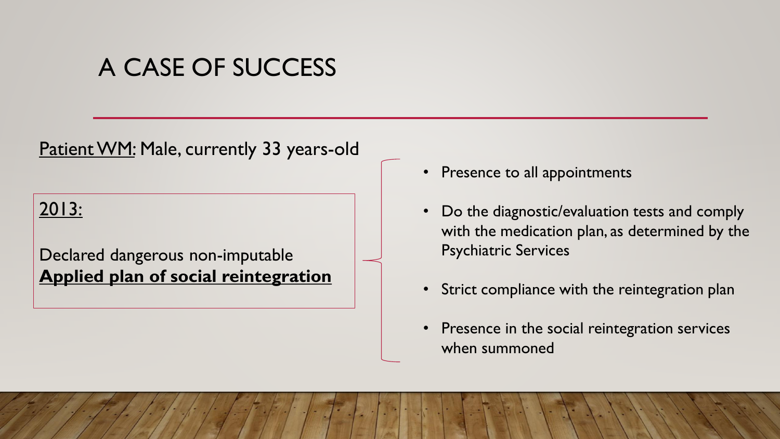#### Patient WM: Male, currently 33 years-old

#### 2013:

#### Declared dangerous non-imputable **Applied plan of social reintegration**

- Presence to all appointments
- Do the diagnostic/evaluation tests and comply with the medication plan, as determined by the Psychiatric Services
- Strict compliance with the reintegration plan
- Presence in the social reintegration services when summoned